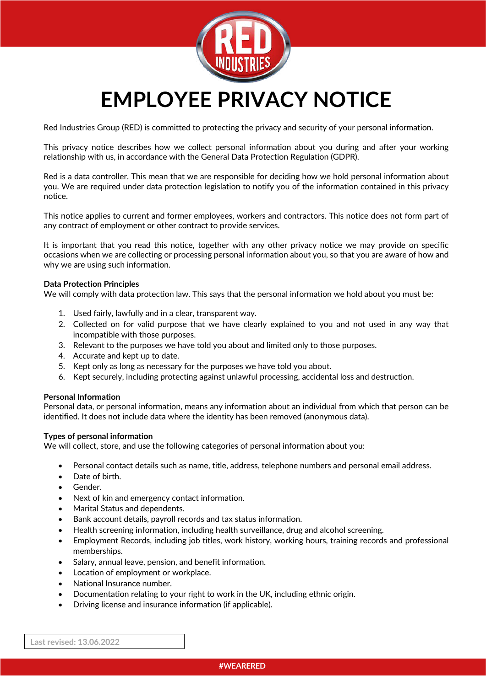

# **EMPLOYEE PRIVACY NOTICE**

Red Industries Group (RED) is committed to protecting the privacy and security of your personal information.

This privacy notice describes how we collect personal information about you during and after your working relationship with us, in accordance with the General Data Protection Regulation (GDPR).

Red is a data controller. This mean that we are responsible for deciding how we hold personal information about you. We are required under data protection legislation to notify you of the information contained in this privacy notice.

This notice applies to current and former employees, workers and contractors. This notice does not form part of any contract of employment or other contract to provide services.

It is important that you read this notice, together with any other privacy notice we may provide on specific occasions when we are collecting or processing personal information about you, so that you are aware of how and why we are using such information.

## **Data Protection Principles**

We will comply with data protection law. This says that the personal information we hold about you must be:

- 1. Used fairly, lawfully and in a clear, transparent way.
- 2. Collected on for valid purpose that we have clearly explained to you and not used in any way that incompatible with those purposes.
- 3. Relevant to the purposes we have told you about and limited only to those purposes.
- 4. Accurate and kept up to date.
- 5. Kept only as long as necessary for the purposes we have told you about.
- 6. Kept securely, including protecting against unlawful processing, accidental loss and destruction.

## **Personal Information**

Personal data, or personal information, means any information about an individual from which that person can be identified. It does not include data where the identity has been removed (anonymous data).

## **Types of personal information**

We will collect, store, and use the following categories of personal information about you:

- Personal contact details such as name, title, address, telephone numbers and personal email address.
- Date of birth.
- Gender.
- Next of kin and emergency contact information.
- Marital Status and dependents.
- Bank account details, payroll records and tax status information.
- Health screening information, including health surveillance, drug and alcohol screening.
- Employment Records, including job titles, work history, working hours, training records and professional memberships.
- Salary, annual leave, pension, and benefit information.
- Location of employment or workplace.
- National Insurance number.
- Documentation relating to your right to work in the UK, including ethnic origin.
- Driving license and insurance information (if applicable).

**Last revised: 13.06.2022**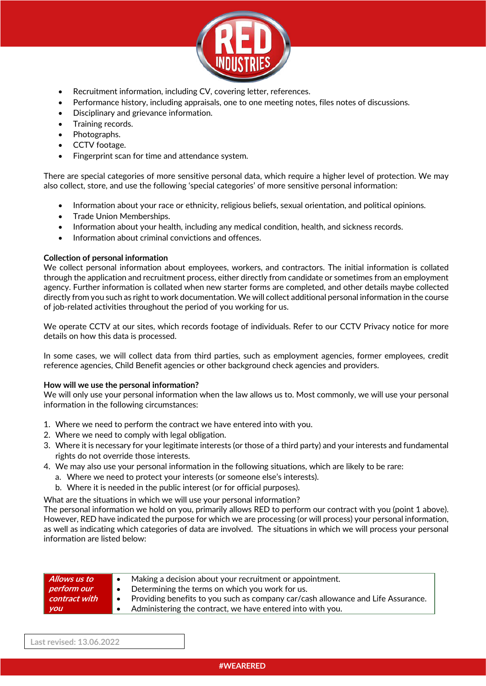

- Recruitment information, including CV, covering letter, references.
- Performance history, including appraisals, one to one meeting notes, files notes of discussions.
- Disciplinary and grievance information.
- Training records.
- Photographs.
- CCTV footage.
- Fingerprint scan for time and attendance system.

There are special categories of more sensitive personal data, which require a higher level of protection. We may also collect, store, and use the following 'special categories' of more sensitive personal information:

- Information about your race or ethnicity, religious beliefs, sexual orientation, and political opinions.
- Trade Union Memberships.
- Information about your health, including any medical condition, health, and sickness records.
- Information about criminal convictions and offences.

## **Collection of personal information**

We collect personal information about employees, workers, and contractors. The initial information is collated through the application and recruitment process, either directly from candidate or sometimes from an employment agency. Further information is collated when new starter forms are completed, and other details maybe collected directly from you such as right to work documentation. We will collect additional personal information in the course of job-related activities throughout the period of you working for us.

We operate CCTV at our sites, which records footage of individuals. Refer to our CCTV Privacy notice for more details on how this data is processed.

In some cases, we will collect data from third parties, such as employment agencies, former employees, credit reference agencies, Child Benefit agencies or other background check agencies and providers.

## **How will we use the personal information?**

We will only use your personal information when the law allows us to. Most commonly, we will use your personal information in the following circumstances:

- 1. Where we need to perform the contract we have entered into with you.
- 2. Where we need to comply with legal obligation.
- 3. Where it is necessary for your legitimate interests (or those of a third party) and your interests and fundamental rights do not override those interests.
- 4. We may also use your personal information in the following situations, which are likely to be rare:
	- a. Where we need to protect your interests (or someone else's interests).
	- b. Where it is needed in the public interest (or for official purposes).

What are the situations in which we will use your personal information?

The personal information we hold on you, primarily allows RED to perform our contract with you (point 1 above). However, RED have indicated the purpose for which we are processing (or will process) your personal information, as well as indicating which categories of data are involved. The situations in which we will process your personal information are listed below:

| Allows us to         | Making a decision about your recruitment or appointment.                                      |
|----------------------|-----------------------------------------------------------------------------------------------|
| perform our          | Determining the terms on which you work for us.<br>$\bullet$                                  |
| $\mid$ contract with | Providing benefits to you such as company car/cash allowance and Life Assurance.<br>$\bullet$ |
| <b>you</b>           | Administering the contract, we have entered into with you.                                    |

**Last revised: 13.06.2022**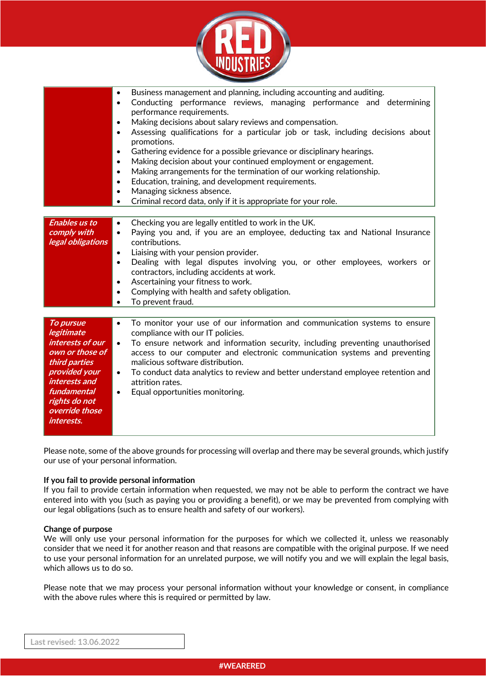

|                                                                                                                                                                                   | Business management and planning, including accounting and auditing.<br>$\bullet$<br>Conducting performance reviews, managing performance and determining<br>$\bullet$<br>performance requirements.<br>Making decisions about salary reviews and compensation.<br>$\bullet$<br>Assessing qualifications for a particular job or task, including decisions about<br>$\bullet$<br>promotions.<br>Gathering evidence for a possible grievance or disciplinary hearings.<br>$\bullet$<br>Making decision about your continued employment or engagement.<br>$\bullet$<br>Making arrangements for the termination of our working relationship.<br>$\bullet$<br>Education, training, and development requirements.<br>$\bullet$<br>Managing sickness absence.<br>$\bullet$<br>Criminal record data, only if it is appropriate for your role.<br>$\bullet$ |
|-----------------------------------------------------------------------------------------------------------------------------------------------------------------------------------|----------------------------------------------------------------------------------------------------------------------------------------------------------------------------------------------------------------------------------------------------------------------------------------------------------------------------------------------------------------------------------------------------------------------------------------------------------------------------------------------------------------------------------------------------------------------------------------------------------------------------------------------------------------------------------------------------------------------------------------------------------------------------------------------------------------------------------------------------|
| <b>Enables us to</b><br>comply with<br>legal obligations                                                                                                                          | Checking you are legally entitled to work in the UK.<br>$\bullet$<br>Paying you and, if you are an employee, deducting tax and National Insurance<br>$\bullet$<br>contributions.<br>Liaising with your pension provider.<br>$\bullet$<br>Dealing with legal disputes involving you, or other employees, workers or<br>$\bullet$<br>contractors, including accidents at work.<br>Ascertaining your fitness to work.<br>$\bullet$<br>Complying with health and safety obligation.<br>$\bullet$<br>To prevent fraud.                                                                                                                                                                                                                                                                                                                                  |
| To pursue<br>legitimate<br>interests of our<br>own or those of<br>third parties<br>provided your<br>interests and<br>fundamental<br>rights do not<br>override those<br>interests. | To monitor your use of our information and communication systems to ensure<br>$\bullet$<br>compliance with our IT policies.<br>To ensure network and information security, including preventing unauthorised<br>$\bullet$<br>access to our computer and electronic communication systems and preventing<br>malicious software distribution.<br>To conduct data analytics to review and better understand employee retention and<br>$\bullet$<br>attrition rates.<br>Equal opportunities monitoring.<br>$\bullet$                                                                                                                                                                                                                                                                                                                                   |

Please note, some of the above grounds for processing will overlap and there may be several grounds, which justify our use of your personal information.

## **If you fail to provide personal information**

If you fail to provide certain information when requested, we may not be able to perform the contract we have entered into with you (such as paying you or providing a benefit), or we may be prevented from complying with our legal obligations (such as to ensure health and safety of our workers).

## **Change of purpose**

We will only use your personal information for the purposes for which we collected it, unless we reasonably consider that we need it for another reason and that reasons are compatible with the original purpose. If we need to use your personal information for an unrelated purpose, we will notify you and we will explain the legal basis, which allows us to do so.

Please note that we may process your personal information without your knowledge or consent, in compliance with the above rules where this is required or permitted by law.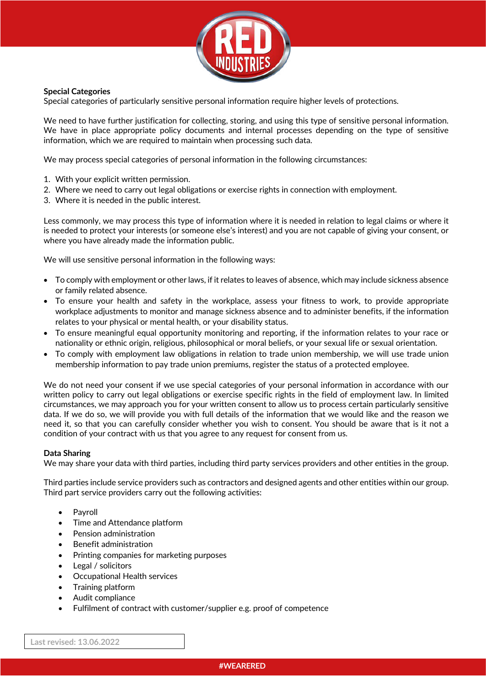

# **Special Categories**

Special categories of particularly sensitive personal information require higher levels of protections.

We need to have further justification for collecting, storing, and using this type of sensitive personal information. We have in place appropriate policy documents and internal processes depending on the type of sensitive information, which we are required to maintain when processing such data.

We may process special categories of personal information in the following circumstances:

- 1. With your explicit written permission.
- 2. Where we need to carry out legal obligations or exercise rights in connection with employment.
- 3. Where it is needed in the public interest.

Less commonly, we may process this type of information where it is needed in relation to legal claims or where it is needed to protect your interests (or someone else's interest) and you are not capable of giving your consent, or where you have already made the information public.

We will use sensitive personal information in the following ways:

- To comply with employment or other laws, if it relates to leaves of absence, which may include sickness absence or family related absence.
- To ensure your health and safety in the workplace, assess your fitness to work, to provide appropriate workplace adjustments to monitor and manage sickness absence and to administer benefits, if the information relates to your physical or mental health, or your disability status.
- To ensure meaningful equal opportunity monitoring and reporting, if the information relates to your race or nationality or ethnic origin, religious, philosophical or moral beliefs, or your sexual life or sexual orientation.
- To comply with employment law obligations in relation to trade union membership, we will use trade union membership information to pay trade union premiums, register the status of a protected employee.

We do not need your consent if we use special categories of your personal information in accordance with our written policy to carry out legal obligations or exercise specific rights in the field of employment law. In limited circumstances, we may approach you for your written consent to allow us to process certain particularly sensitive data. If we do so, we will provide you with full details of the information that we would like and the reason we need it, so that you can carefully consider whether you wish to consent. You should be aware that is it not a condition of your contract with us that you agree to any request for consent from us.

# **Data Sharing**

We may share your data with third parties, including third party services providers and other entities in the group.

Third parties include service providers such as contractors and designed agents and other entities within our group. Third part service providers carry out the following activities:

- **Payroll**
- Time and Attendance platform
- Pension administration
- Benefit administration
- Printing companies for marketing purposes
- Legal / solicitors
- Occupational Health services
- Training platform
- Audit compliance
- Fulfilment of contract with customer/supplier e.g. proof of competence

**Last revised: 13.06.2022**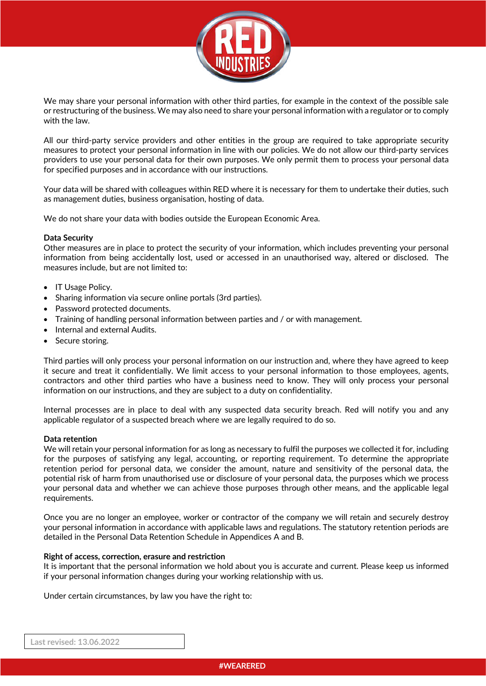

We may share your personal information with other third parties, for example in the context of the possible sale or restructuring of the business. We may also need to share your personal information with a regulator or to comply with the law.

All our third-party service providers and other entities in the group are required to take appropriate security measures to protect your personal information in line with our policies. We do not allow our third-party services providers to use your personal data for their own purposes. We only permit them to process your personal data for specified purposes and in accordance with our instructions.

Your data will be shared with colleagues within RED where it is necessary for them to undertake their duties, such as management duties, business organisation, hosting of data.

We do not share your data with bodies outside the European Economic Area.

# **Data Security**

Other measures are in place to protect the security of your information, which includes preventing your personal information from being accidentally lost, used or accessed in an unauthorised way, altered or disclosed. The measures include, but are not limited to:

- IT Usage Policy.
- Sharing information via secure online portals (3rd parties).
- Password protected documents.
- Training of handling personal information between parties and / or with management.
- Internal and external Audits.
- Secure storing.

Third parties will only process your personal information on our instruction and, where they have agreed to keep it secure and treat it confidentially. We limit access to your personal information to those employees, agents, contractors and other third parties who have a business need to know. They will only process your personal information on our instructions, and they are subject to a duty on confidentiality.

Internal processes are in place to deal with any suspected data security breach. Red will notify you and any applicable regulator of a suspected breach where we are legally required to do so.

## **Data retention**

We will retain your personal information for as long as necessary to fulfil the purposes we collected it for, including for the purposes of satisfying any legal, accounting, or reporting requirement. To determine the appropriate retention period for personal data, we consider the amount, nature and sensitivity of the personal data, the potential risk of harm from unauthorised use or disclosure of your personal data, the purposes which we process your personal data and whether we can achieve those purposes through other means, and the applicable legal requirements.

Once you are no longer an employee, worker or contractor of the company we will retain and securely destroy your personal information in accordance with applicable laws and regulations. The statutory retention periods are detailed in the Personal Data Retention Schedule in Appendices A and B.

## **Right of access, correction, erasure and restriction**

It is important that the personal information we hold about you is accurate and current. Please keep us informed if your personal information changes during your working relationship with us.

Under certain circumstances, by law you have the right to: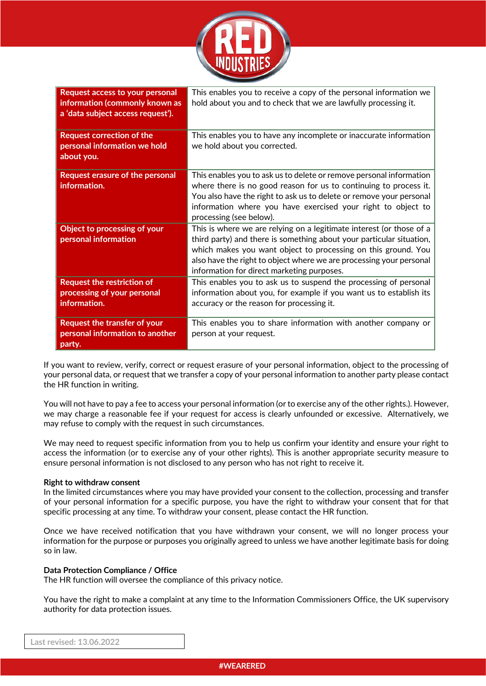

| Request access to your personal<br>information (commonly known as<br>a 'data subject access request'). | This enables you to receive a copy of the personal information we<br>hold about you and to check that we are lawfully processing it.                                                                                                                                                                                               |
|--------------------------------------------------------------------------------------------------------|------------------------------------------------------------------------------------------------------------------------------------------------------------------------------------------------------------------------------------------------------------------------------------------------------------------------------------|
| <b>Request correction of the</b><br>personal information we hold<br>about you.                         | This enables you to have any incomplete or inaccurate information<br>we hold about you corrected.                                                                                                                                                                                                                                  |
| Request erasure of the personal<br>information.                                                        | This enables you to ask us to delete or remove personal information<br>where there is no good reason for us to continuing to process it.<br>You also have the right to ask us to delete or remove your personal<br>information where you have exercised your right to object to<br>processing (see below).                         |
| Object to processing of your<br>personal information                                                   | This is where we are relying on a legitimate interest (or those of a<br>third party) and there is something about your particular situation,<br>which makes you want object to processing on this ground. You<br>also have the right to object where we are processing your personal<br>information for direct marketing purposes. |
| <b>Request the restriction of</b><br>processing of your personal<br>information.                       | This enables you to ask us to suspend the processing of personal<br>information about you, for example if you want us to establish its<br>accuracy or the reason for processing it.                                                                                                                                                |
| <b>Request the transfer of your</b><br>personal information to another<br>party.                       | This enables you to share information with another company or<br>person at your request.                                                                                                                                                                                                                                           |

If you want to review, verify, correct or request erasure of your personal information, object to the processing of your personal data, or request that we transfer a copy of your personal information to another party please contact the HR function in writing.

You will not have to pay a fee to access your personal information (or to exercise any of the other rights.). However, we may charge a reasonable fee if your request for access is clearly unfounded or excessive. Alternatively, we may refuse to comply with the request in such circumstances.

We may need to request specific information from you to help us confirm your identity and ensure your right to access the information (or to exercise any of your other rights). This is another appropriate security measure to ensure personal information is not disclosed to any person who has not right to receive it.

# **Right to withdraw consent**

In the limited circumstances where you may have provided your consent to the collection, processing and transfer of your personal information for a specific purpose, you have the right to withdraw your consent that for that specific processing at any time. To withdraw your consent, please contact the HR function.

Once we have received notification that you have withdrawn your consent, we will no longer process your information for the purpose or purposes you originally agreed to unless we have another legitimate basis for doing so in law.

## **Data Protection Compliance / Office**

The HR function will oversee the compliance of this privacy notice.

You have the right to make a complaint at any time to the Information Commissioners Office, the UK supervisory authority for data protection issues.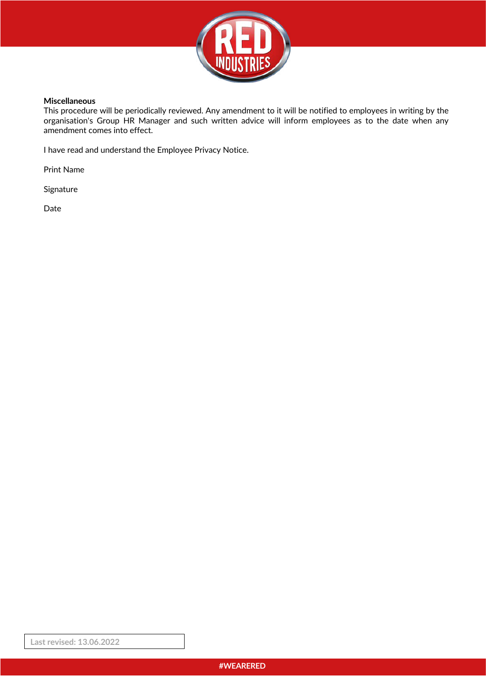

## **Miscellaneous**

This procedure will be periodically reviewed. Any amendment to it will be notified to employees in writing by the organisation's Group HR Manager and such written advice will inform employees as to the date when any amendment comes into effect.

I have read and understand the Employee Privacy Notice.

Print Name

Signature

Date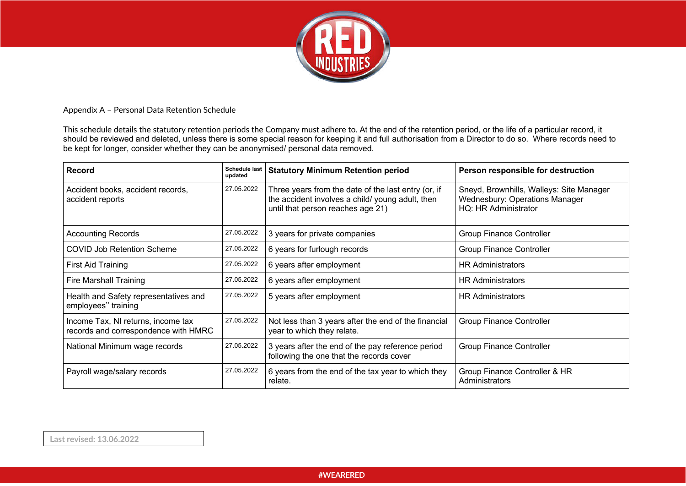

## Appendix A – Personal Data Retention Schedule

This schedule details the statutory retention periods the Company must adhere to. At the end of the retention period, or the life of a particular record, it should be reviewed and deleted, unless there is some special reason for keeping it and full authorisation from a Director to do so. Where records need to be kept for longer, consider whether they can be anonymised/ personal data removed.

| <b>Record</b>                                                              | <b>Schedule last</b><br>updated | <b>Statutory Minimum Retention period</b>                                                                                                   | Person responsible for destruction                                                                 |
|----------------------------------------------------------------------------|---------------------------------|---------------------------------------------------------------------------------------------------------------------------------------------|----------------------------------------------------------------------------------------------------|
| Accident books, accident records,<br>accident reports                      | 27.05.2022                      | Three years from the date of the last entry (or, if<br>the accident involves a child/young adult, then<br>until that person reaches age 21) | Sneyd, Brownhills, Walleys: Site Manager<br>Wednesbury: Operations Manager<br>HQ: HR Administrator |
| <b>Accounting Records</b>                                                  | 27.05.2022                      | 3 years for private companies                                                                                                               | <b>Group Finance Controller</b>                                                                    |
| <b>COVID Job Retention Scheme</b>                                          | 27.05.2022                      | 6 years for furlough records                                                                                                                | <b>Group Finance Controller</b>                                                                    |
| First Aid Training                                                         | 27.05.2022                      | 6 years after employment                                                                                                                    | <b>HR Administrators</b>                                                                           |
| <b>Fire Marshall Training</b>                                              | 27.05.2022                      | 6 years after employment                                                                                                                    | <b>HR Administrators</b>                                                                           |
| Health and Safety representatives and<br>employees" training               | 27.05.2022                      | 5 years after employment                                                                                                                    | <b>HR Administrators</b>                                                                           |
| Income Tax, NI returns, income tax<br>records and correspondence with HMRC | 27.05.2022                      | Not less than 3 years after the end of the financial<br>year to which they relate.                                                          | <b>Group Finance Controller</b>                                                                    |
| National Minimum wage records                                              | 27.05.2022                      | 3 years after the end of the pay reference period<br>following the one that the records cover                                               | <b>Group Finance Controller</b>                                                                    |
| Payroll wage/salary records                                                | 27.05.2022                      | 6 years from the end of the tax year to which they<br>relate.                                                                               | Group Finance Controller & HR<br>Administrators                                                    |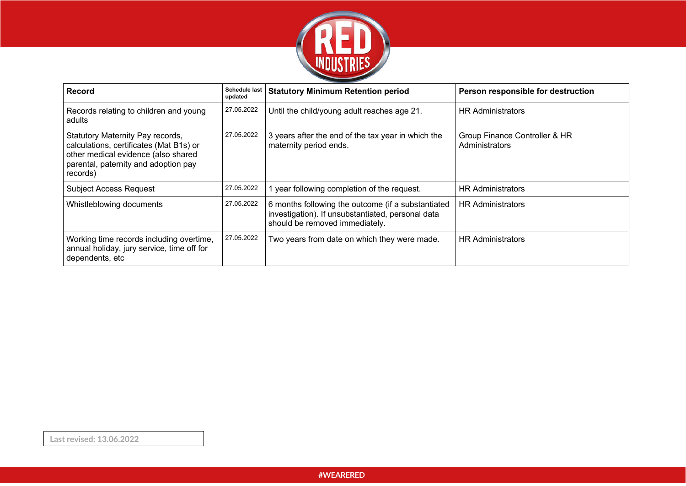

| <b>Record</b>                                                                                                                                                          | <b>Schedule last</b><br>updated | <b>Statutory Minimum Retention period</b>                                                                                                 | Person responsible for destruction              |
|------------------------------------------------------------------------------------------------------------------------------------------------------------------------|---------------------------------|-------------------------------------------------------------------------------------------------------------------------------------------|-------------------------------------------------|
| Records relating to children and young<br>adults                                                                                                                       | 27.05.2022                      | Until the child/young adult reaches age 21.                                                                                               | <b>HR Administrators</b>                        |
| Statutory Maternity Pay records,<br>calculations, certificates (Mat B1s) or<br>other medical evidence (also shared<br>parental, paternity and adoption pay<br>records) | 27.05.2022                      | 3 years after the end of the tax year in which the<br>maternity period ends.                                                              | Group Finance Controller & HR<br>Administrators |
| <b>Subject Access Request</b>                                                                                                                                          | 27.05.2022                      | year following completion of the request.                                                                                                 | <b>HR Administrators</b>                        |
| Whistleblowing documents                                                                                                                                               | 27.05.2022                      | 6 months following the outcome (if a substantiated<br>investigation). If unsubstantiated, personal data<br>should be removed immediately. | <b>HR Administrators</b>                        |
| Working time records including overtime,<br>annual holiday, jury service, time off for<br>dependents, etc                                                              | 27.05.2022                      | Two years from date on which they were made.                                                                                              | <b>HR Administrators</b>                        |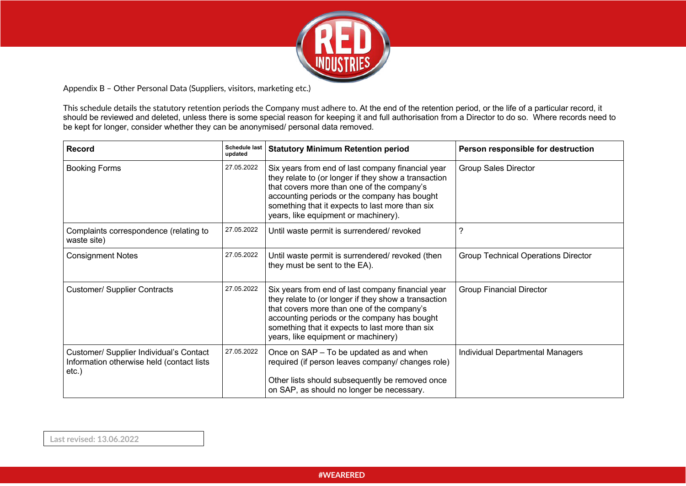

Appendix B – Other Personal Data (Suppliers, visitors, marketing etc.)

This schedule details the statutory retention periods the Company must adhere to. At the end of the retention period, or the life of a particular record, it should be reviewed and deleted, unless there is some special reason for keeping it and full authorisation from a Director to do so. Where records need to be kept for longer, consider whether they can be anonymised/ personal data removed.

| <b>Record</b>                                                                                    | <b>Schedule last</b><br>updated | <b>Statutory Minimum Retention period</b>                                                                                                                                                                                                                                                          | Person responsible for destruction         |
|--------------------------------------------------------------------------------------------------|---------------------------------|----------------------------------------------------------------------------------------------------------------------------------------------------------------------------------------------------------------------------------------------------------------------------------------------------|--------------------------------------------|
| <b>Booking Forms</b>                                                                             | 27.05.2022                      | Six years from end of last company financial year<br>they relate to (or longer if they show a transaction<br>that covers more than one of the company's<br>accounting periods or the company has bought<br>something that it expects to last more than six<br>years, like equipment or machinery). | <b>Group Sales Director</b>                |
| Complaints correspondence (relating to<br>waste site)                                            | 27.05.2022                      | Until waste permit is surrendered/ revoked                                                                                                                                                                                                                                                         | 7                                          |
| <b>Consignment Notes</b>                                                                         | 27.05.2022                      | Until waste permit is surrendered/ revoked (then<br>they must be sent to the EA).                                                                                                                                                                                                                  | <b>Group Technical Operations Director</b> |
| <b>Customer/ Supplier Contracts</b>                                                              | 27.05.2022                      | Six years from end of last company financial year<br>they relate to (or longer if they show a transaction<br>that covers more than one of the company's<br>accounting periods or the company has bought<br>something that it expects to last more than six<br>years, like equipment or machinery)  | <b>Group Financial Director</b>            |
| Customer/ Supplier Individual's Contact<br>Information otherwise held (contact lists<br>$etc.$ ) | 27.05.2022                      | Once on SAP - To be updated as and when<br>required (if person leaves company/ changes role)<br>Other lists should subsequently be removed once<br>on SAP, as should no longer be necessary.                                                                                                       | Individual Departmental Managers           |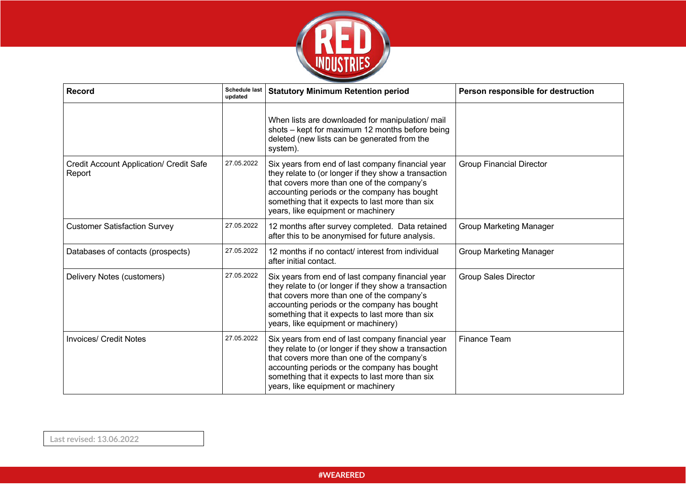

| <b>Record</b>                                            | <b>Schedule last</b><br>updated | <b>Statutory Minimum Retention period</b>                                                                                                                                                                                                                                                         | Person responsible for destruction |
|----------------------------------------------------------|---------------------------------|---------------------------------------------------------------------------------------------------------------------------------------------------------------------------------------------------------------------------------------------------------------------------------------------------|------------------------------------|
|                                                          |                                 | When lists are downloaded for manipulation/ mail<br>shots - kept for maximum 12 months before being<br>deleted (new lists can be generated from the<br>system).                                                                                                                                   |                                    |
| <b>Credit Account Application/ Credit Safe</b><br>Report | 27.05.2022                      | Six years from end of last company financial year<br>they relate to (or longer if they show a transaction<br>that covers more than one of the company's<br>accounting periods or the company has bought<br>something that it expects to last more than six<br>years, like equipment or machinery  | <b>Group Financial Director</b>    |
| <b>Customer Satisfaction Survey</b>                      | 27.05.2022                      | 12 months after survey completed. Data retained<br>after this to be anonymised for future analysis.                                                                                                                                                                                               | <b>Group Marketing Manager</b>     |
| Databases of contacts (prospects)                        | 27.05.2022                      | 12 months if no contact/ interest from individual<br>after initial contact.                                                                                                                                                                                                                       | <b>Group Marketing Manager</b>     |
| Delivery Notes (customers)                               | 27.05.2022                      | Six years from end of last company financial year<br>they relate to (or longer if they show a transaction<br>that covers more than one of the company's<br>accounting periods or the company has bought<br>something that it expects to last more than six<br>years, like equipment or machinery) | <b>Group Sales Director</b>        |
| <b>Invoices/ Credit Notes</b>                            | 27.05.2022                      | Six years from end of last company financial year<br>they relate to (or longer if they show a transaction<br>that covers more than one of the company's<br>accounting periods or the company has bought<br>something that it expects to last more than six<br>years, like equipment or machinery  | <b>Finance Team</b>                |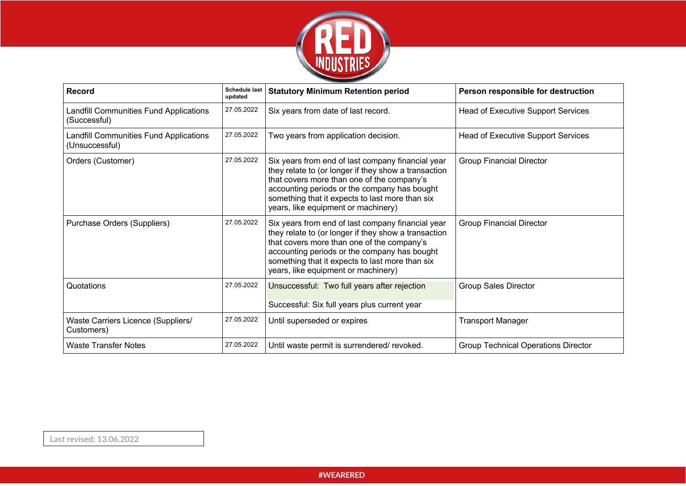

| <b>Record</b>                                            | <b>Schedule last</b><br>updated | <b>Statutory Minimum Retention period</b>                                                                                                                                                                                                                                                         | Person responsible for destruction         |
|----------------------------------------------------------|---------------------------------|---------------------------------------------------------------------------------------------------------------------------------------------------------------------------------------------------------------------------------------------------------------------------------------------------|--------------------------------------------|
| Landfill Communities Fund Applications<br>(Successful)   | 27.05.2022                      | Six years from date of last record.                                                                                                                                                                                                                                                               | Head of Executive Support Services         |
| Landfill Communities Fund Applications<br>(Unsuccessful) | 27.05.2022                      | Two years from application decision.                                                                                                                                                                                                                                                              | Head of Executive Support Services         |
| Orders (Customer)                                        | 27.05.2022                      | Six years from end of last company financial year<br>they relate to (or longer if they show a transaction<br>that covers more than one of the company's<br>accounting periods or the company has bought<br>something that it expects to last more than six<br>years, like equipment or machinery) | <b>Group Financial Director</b>            |
| Purchase Orders (Suppliers)                              | 27.05.2022                      | Six years from end of last company financial year<br>they relate to (or longer if they show a transaction<br>that covers more than one of the company's<br>accounting periods or the company has bought<br>something that it expects to last more than six<br>years, like equipment or machinery) | <b>Group Financial Director</b>            |
| Quotations                                               | 27.05.2022                      | Unsuccessful: Two full years after rejection<br>Successful: Six full years plus current year                                                                                                                                                                                                      | <b>Group Sales Director</b>                |
| Waste Carriers Licence (Suppliers/<br>Customers)         | 27.05.2022                      | Until superseded or expires                                                                                                                                                                                                                                                                       | <b>Transport Manager</b>                   |
| <b>Waste Transfer Notes</b>                              | 27.05.2022                      | Until waste permit is surrendered/revoked.                                                                                                                                                                                                                                                        | <b>Group Technical Operations Director</b> |